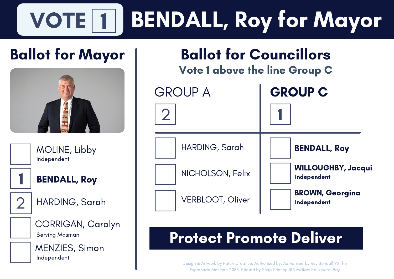### VOTE 1 1 BENDALL, Roy for Mayor

# Ballot for Mayor



MOLINE, Libby Independent



BENDALL, Roy

2

HARDING, Sarah



CORRIGAN, Carolyn Serving Mosman



MENZIES, Simon Independent



Ballot for Councillors

# Protect Promote Deliver

Design & Artwork by Patch Creative. Authorised by: Authorised by Roy Bendall 93 The Esplanade Mosman 2088. Printed by Snap Printing 185 Military Rd Neutral Bay